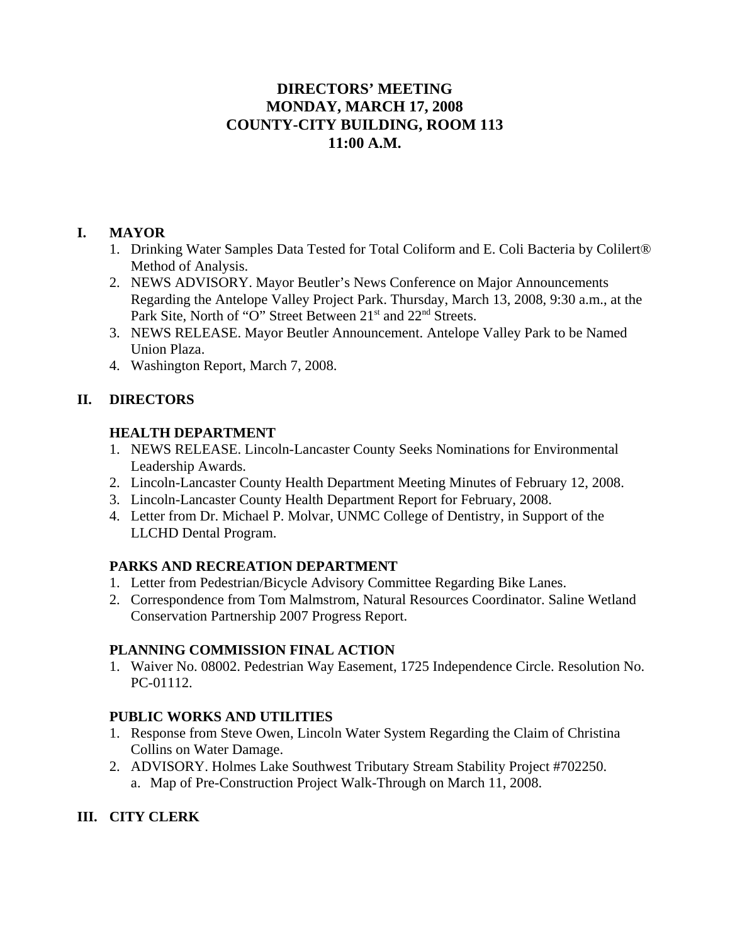# **DIRECTORS' MEETING MONDAY, MARCH 17, 2008 COUNTY-CITY BUILDING, ROOM 113 11:00 A.M.**

### **I. MAYOR**

- 1. Drinking Water Samples Data Tested for Total Coliform and E. Coli Bacteria by Colilert® Method of Analysis.
- 2. NEWS ADVISORY. Mayor Beutler's News Conference on Major Announcements Regarding the Antelope Valley Project Park. Thursday, March 13, 2008, 9:30 a.m., at the Park Site, North of "O" Street Between 21<sup>st</sup> and 22<sup>nd</sup> Streets.
- 3. NEWS RELEASE. Mayor Beutler Announcement. Antelope Valley Park to be Named Union Plaza.
- 4. Washington Report, March 7, 2008.

# **II. DIRECTORS**

### **HEALTH DEPARTMENT**

- 1. NEWS RELEASE. Lincoln-Lancaster County Seeks Nominations for Environmental Leadership Awards.
- 2. Lincoln-Lancaster County Health Department Meeting Minutes of February 12, 2008.
- 3. Lincoln-Lancaster County Health Department Report for February, 2008.
- 4. Letter from Dr. Michael P. Molvar, UNMC College of Dentistry, in Support of the LLCHD Dental Program.

# **PARKS AND RECREATION DEPARTMENT**

- 1. Letter from Pedestrian/Bicycle Advisory Committee Regarding Bike Lanes.
- 2. Correspondence from Tom Malmstrom, Natural Resources Coordinator. Saline Wetland Conservation Partnership 2007 Progress Report.

# **PLANNING COMMISSION FINAL ACTION**

1. Waiver No. 08002. Pedestrian Way Easement, 1725 Independence Circle. Resolution No. PC-01112.

# **PUBLIC WORKS AND UTILITIES**

- 1. Response from Steve Owen, Lincoln Water System Regarding the Claim of Christina Collins on Water Damage.
- 2. ADVISORY. Holmes Lake Southwest Tributary Stream Stability Project #702250. a. Map of Pre-Construction Project Walk-Through on March 11, 2008.

# **III. CITY CLERK**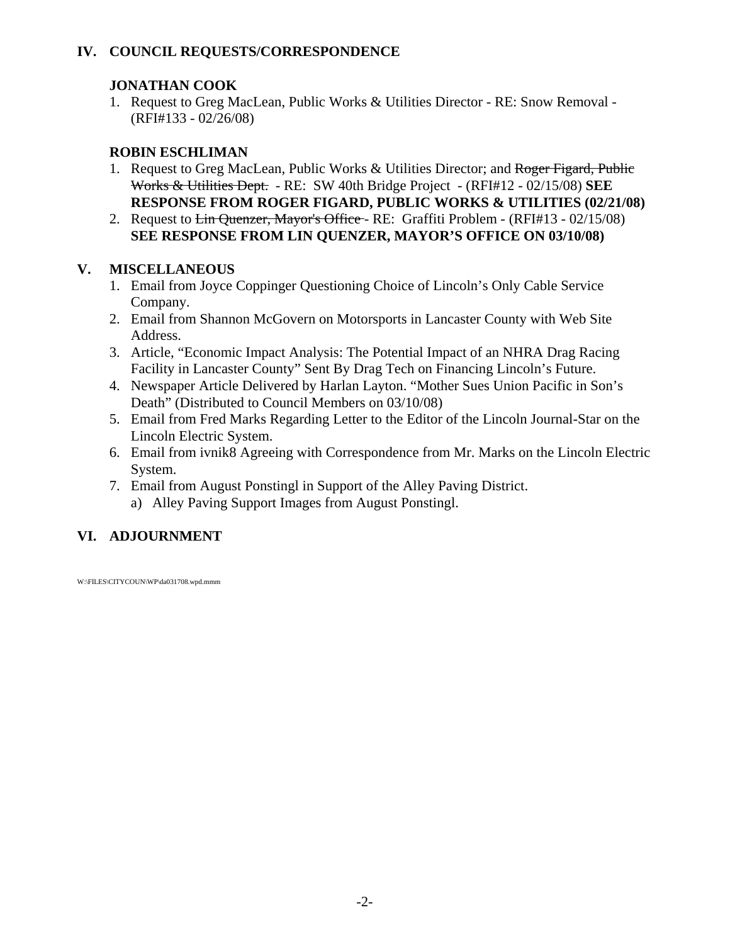# **IV. COUNCIL REQUESTS/CORRESPONDENCE**

### **JONATHAN COOK**

1. Request to Greg MacLean, Public Works & Utilities Director - RE: Snow Removal - (RFI#133 - 02/26/08)

# **ROBIN ESCHLIMAN**

- 1. Request to Greg MacLean, Public Works & Utilities Director; and Roger Figard, Public Works & Utilities Dept. - RE: SW 40th Bridge Project - (RFI#12 - 02/15/08) **SEE RESPONSE FROM ROGER FIGARD, PUBLIC WORKS & UTILITIES (02/21/08)**
- 2. Request to  $\overline{\text{Lin Quenzer}}$ , Mayor's Office RE: Graffiti Problem (RFI#13 02/15/08) **SEE RESPONSE FROM LIN QUENZER, MAYOR'S OFFICE ON 03/10/08)**

# **V. MISCELLANEOUS**

- 1. Email from Joyce Coppinger Questioning Choice of Lincoln's Only Cable Service Company.
- 2. Email from Shannon McGovern on Motorsports in Lancaster County with Web Site Address.
- 3. Article, "Economic Impact Analysis: The Potential Impact of an NHRA Drag Racing Facility in Lancaster County" Sent By Drag Tech on Financing Lincoln's Future.
- 4. Newspaper Article Delivered by Harlan Layton. "Mother Sues Union Pacific in Son's Death" (Distributed to Council Members on 03/10/08)
- 5. Email from Fred Marks Regarding Letter to the Editor of the Lincoln Journal-Star on the Lincoln Electric System.
- 6. Email from ivnik8 Agreeing with Correspondence from Mr. Marks on the Lincoln Electric System.
- 7. Email from August Ponstingl in Support of the Alley Paving District.
	- a) Alley Paving Support Images from August Ponstingl.

# **VI. ADJOURNMENT**

W:\FILES\CITYCOUN\WP\da031708.wpd.mmm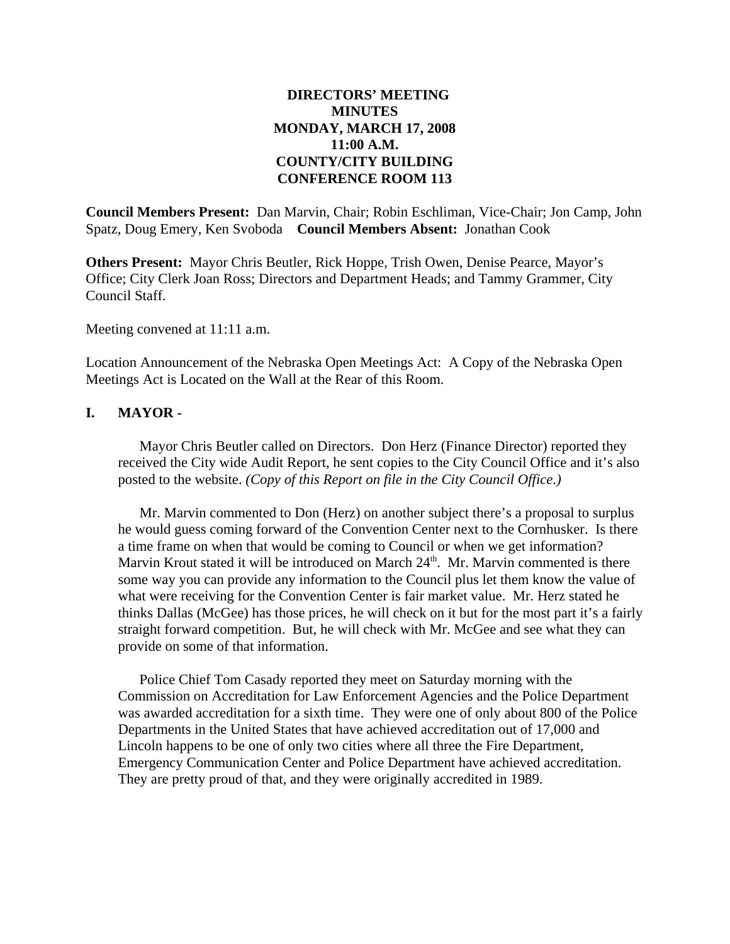### **DIRECTORS' MEETING MINUTES MONDAY, MARCH 17, 2008 11:00 A.M. COUNTY/CITY BUILDING CONFERENCE ROOM 113**

**Council Members Present:** Dan Marvin, Chair; Robin Eschliman, Vice-Chair; Jon Camp, John Spatz, Doug Emery, Ken Svoboda **Council Members Absent:** Jonathan Cook

**Others Present:** Mayor Chris Beutler, Rick Hoppe, Trish Owen, Denise Pearce, Mayor's Office; City Clerk Joan Ross; Directors and Department Heads; and Tammy Grammer, City Council Staff.

Meeting convened at 11:11 a.m.

Location Announcement of the Nebraska Open Meetings Act: A Copy of the Nebraska Open Meetings Act is Located on the Wall at the Rear of this Room.

### **I. MAYOR -**

Mayor Chris Beutler called on Directors. Don Herz (Finance Director) reported they received the City wide Audit Report, he sent copies to the City Council Office and it's also posted to the website. *(Copy of this Report on file in the City Council Office.)* 

Mr. Marvin commented to Don (Herz) on another subject there's a proposal to surplus he would guess coming forward of the Convention Center next to the Cornhusker. Is there a time frame on when that would be coming to Council or when we get information? Marvin Krout stated it will be introduced on March  $24<sup>th</sup>$ . Mr. Marvin commented is there some way you can provide any information to the Council plus let them know the value of what were receiving for the Convention Center is fair market value. Mr. Herz stated he thinks Dallas (McGee) has those prices, he will check on it but for the most part it's a fairly straight forward competition. But, he will check with Mr. McGee and see what they can provide on some of that information.

Police Chief Tom Casady reported they meet on Saturday morning with the Commission on Accreditation for Law Enforcement Agencies and the Police Department was awarded accreditation for a sixth time. They were one of only about 800 of the Police Departments in the United States that have achieved accreditation out of 17,000 and Lincoln happens to be one of only two cities where all three the Fire Department, Emergency Communication Center and Police Department have achieved accreditation. They are pretty proud of that, and they were originally accredited in 1989.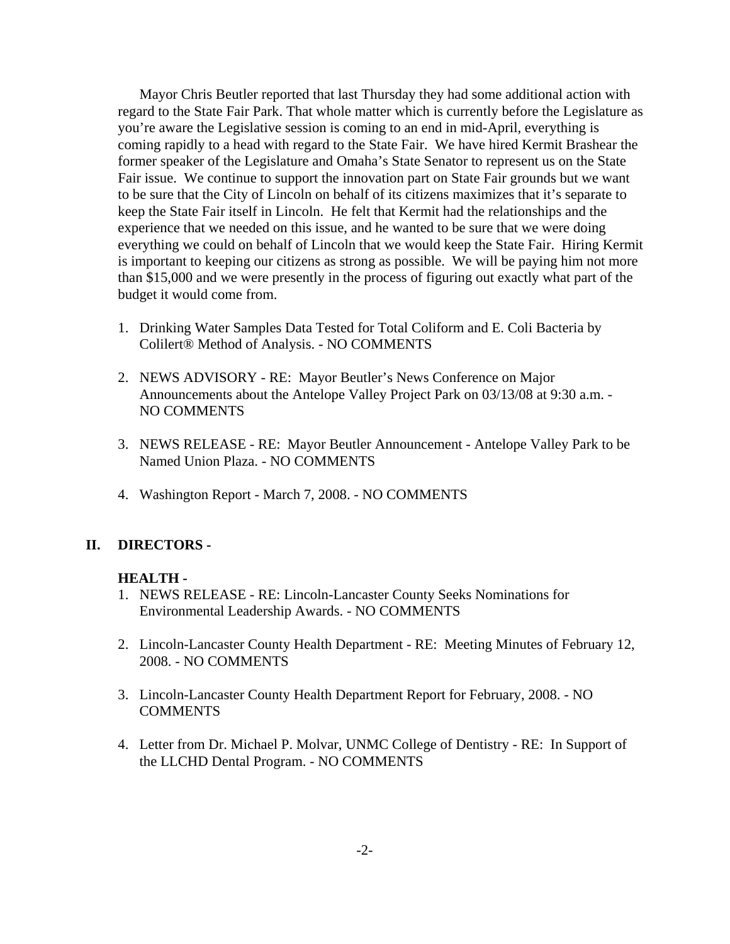Mayor Chris Beutler reported that last Thursday they had some additional action with regard to the State Fair Park. That whole matter which is currently before the Legislature as you're aware the Legislative session is coming to an end in mid-April, everything is coming rapidly to a head with regard to the State Fair. We have hired Kermit Brashear the former speaker of the Legislature and Omaha's State Senator to represent us on the State Fair issue. We continue to support the innovation part on State Fair grounds but we want to be sure that the City of Lincoln on behalf of its citizens maximizes that it's separate to keep the State Fair itself in Lincoln. He felt that Kermit had the relationships and the experience that we needed on this issue, and he wanted to be sure that we were doing everything we could on behalf of Lincoln that we would keep the State Fair. Hiring Kermit is important to keeping our citizens as strong as possible. We will be paying him not more than \$15,000 and we were presently in the process of figuring out exactly what part of the budget it would come from.

- 1. Drinking Water Samples Data Tested for Total Coliform and E. Coli Bacteria by Colilert® Method of Analysis. - NO COMMENTS
- 2. NEWS ADVISORY RE: Mayor Beutler's News Conference on Major Announcements about the Antelope Valley Project Park on 03/13/08 at 9:30 a.m. - NO COMMENTS
- 3. NEWS RELEASE RE: Mayor Beutler Announcement Antelope Valley Park to be Named Union Plaza. - NO COMMENTS
- 4. Washington Report March 7, 2008. NO COMMENTS

#### **II. DIRECTORS -**

### **HEALTH -**

- 1. NEWS RELEASE RE: Lincoln-Lancaster County Seeks Nominations for Environmental Leadership Awards. - NO COMMENTS
- 2. Lincoln-Lancaster County Health Department RE: Meeting Minutes of February 12, 2008. - NO COMMENTS
- 3. Lincoln-Lancaster County Health Department Report for February, 2008. NO COMMENTS
- 4. Letter from Dr. Michael P. Molvar, UNMC College of Dentistry RE: In Support of the LLCHD Dental Program. - NO COMMENTS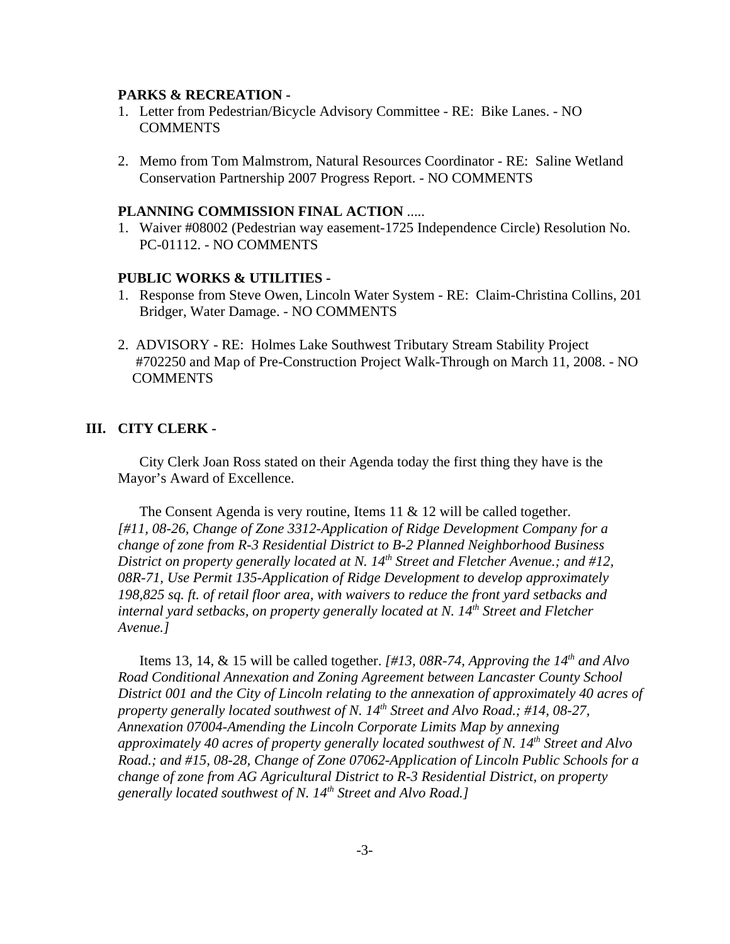#### **PARKS & RECREATION -**

- 1. Letter from Pedestrian/Bicycle Advisory Committee RE: Bike Lanes. NO **COMMENTS**
- 2. Memo from Tom Malmstrom, Natural Resources Coordinator RE: Saline Wetland Conservation Partnership 2007 Progress Report. - NO COMMENTS

#### **PLANNING COMMISSION FINAL ACTION** .....

1. Waiver #08002 (Pedestrian way easement-1725 Independence Circle) Resolution No. PC-01112. - NO COMMENTS

#### **PUBLIC WORKS & UTILITIES -**

- 1. Response from Steve Owen, Lincoln Water System RE: Claim-Christina Collins, 201 Bridger, Water Damage. - NO COMMENTS
- 2. ADVISORY RE: Holmes Lake Southwest Tributary Stream Stability Project #702250 and Map of Pre-Construction Project Walk-Through on March 11, 2008. - NO **COMMENTS**

### **III. CITY CLERK -**

City Clerk Joan Ross stated on their Agenda today the first thing they have is the Mayor's Award of Excellence.

The Consent Agenda is very routine, Items 11 & 12 will be called together. *[#11, 08-26, Change of Zone 3312-Application of Ridge Development Company for a change of zone from R-3 Residential District to B-2 Planned Neighborhood Business District on property generally located at N. 14<sup>th</sup> Street and Fletcher Avenue.; and #12, 08R-71, Use Permit 135-Application of Ridge Development to develop approximately 198,825 sq. ft. of retail floor area, with waivers to reduce the front yard setbacks and internal yard setbacks, on property generally located at N. 14th Street and Fletcher Avenue.]* 

Items 13, 14, & 15 will be called together. *[#13, 08R-74, Approving the 14<sup>th</sup> and Alvo Road Conditional Annexation and Zoning Agreement between Lancaster County School District 001 and the City of Lincoln relating to the annexation of approximately 40 acres of property generally located southwest of N. 14th Street and Alvo Road.; #14, 08-27, Annexation 07004-Amending the Lincoln Corporate Limits Map by annexing approximately 40 acres of property generally located southwest of N. 14th Street and Alvo Road.; and #15, 08-28, Change of Zone 07062-Application of Lincoln Public Schools for a change of zone from AG Agricultural District to R-3 Residential District, on property generally located southwest of N. 14th Street and Alvo Road.]*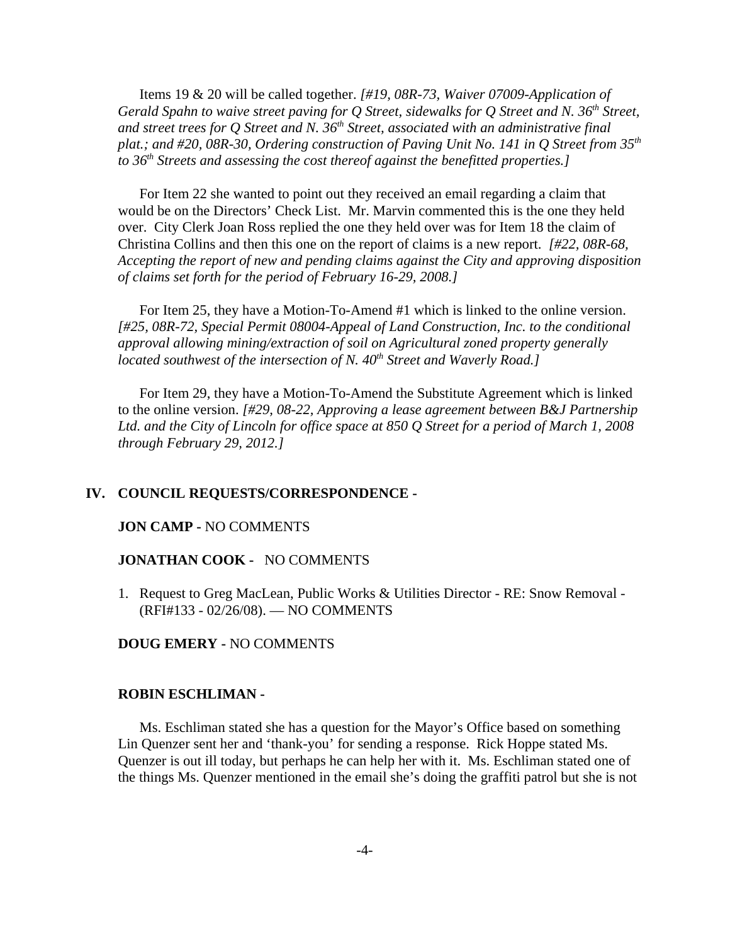Items 19 & 20 will be called together. *[#19, 08R-73, Waiver 07009-Application of Gerald Spahn to waive street paving for Q Street, sidewalks for Q Street and N. 36th Street, and street trees for Q Street and N. 36th Street, associated with an administrative final plat.; and #20, 08R-30, Ordering construction of Paving Unit No. 141 in Q Street from 35th to 36th Streets and assessing the cost thereof against the benefitted properties.]* 

For Item 22 she wanted to point out they received an email regarding a claim that would be on the Directors' Check List. Mr. Marvin commented this is the one they held over. City Clerk Joan Ross replied the one they held over was for Item 18 the claim of Christina Collins and then this one on the report of claims is a new report. *[#22, 08R-68, Accepting the report of new and pending claims against the City and approving disposition of claims set forth for the period of February 16-29, 2008.]* 

For Item 25, they have a Motion-To-Amend #1 which is linked to the online version. *[#25, 08R-72, Special Permit 08004-Appeal of Land Construction, Inc. to the conditional approval allowing mining/extraction of soil on Agricultural zoned property generally located southwest of the intersection of N. 40<sup>th</sup> Street and Waverly Road.]* 

For Item 29, they have a Motion-To-Amend the Substitute Agreement which is linked to the online version. *[#29, 08-22, Approving a lease agreement between B&J Partnership Ltd. and the City of Lincoln for office space at 850 Q Street for a period of March 1, 2008 through February 29, 2012.]* 

#### **IV. COUNCIL REQUESTS/CORRESPONDENCE -**

#### **JON CAMP -** NO COMMENTS

#### **JONATHAN COOK -** NO COMMENTS

1. Request to Greg MacLean, Public Works & Utilities Director - RE: Snow Removal - (RFI#133 - 02/26/08). — NO COMMENTS

#### **DOUG EMERY -** NO COMMENTS

#### **ROBIN ESCHLIMAN -**

Ms. Eschliman stated she has a question for the Mayor's Office based on something Lin Quenzer sent her and 'thank-you' for sending a response. Rick Hoppe stated Ms. Quenzer is out ill today, but perhaps he can help her with it. Ms. Eschliman stated one of the things Ms. Quenzer mentioned in the email she's doing the graffiti patrol but she is not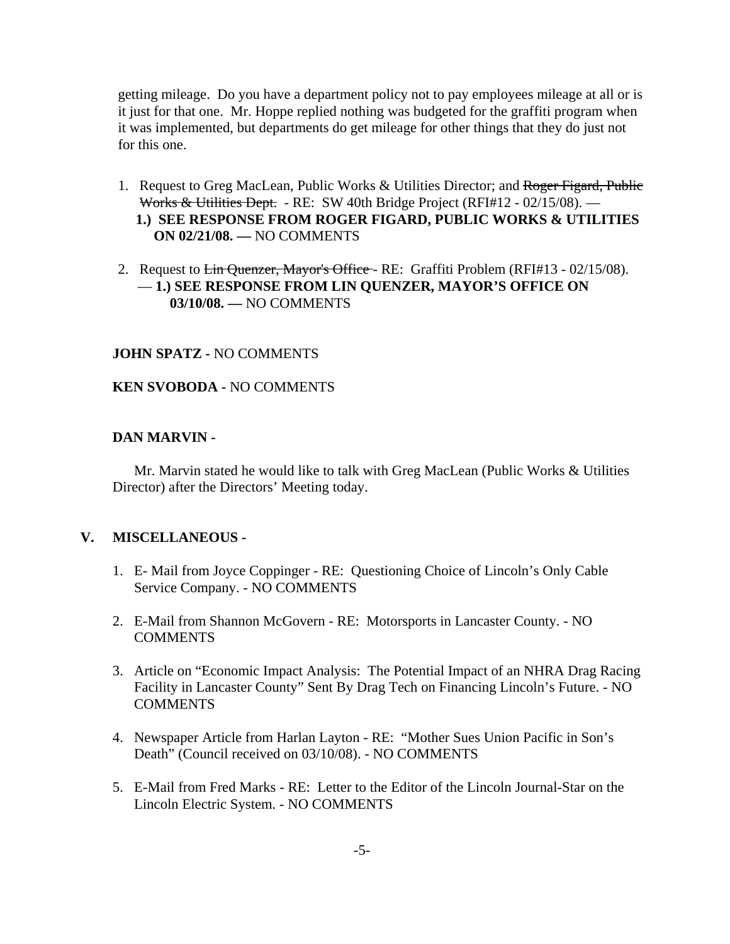getting mileage. Do you have a department policy not to pay employees mileage at all or is it just for that one. Mr. Hoppe replied nothing was budgeted for the graffiti program when it was implemented, but departments do get mileage for other things that they do just not for this one.

- 1. Request to Greg MacLean, Public Works & Utilities Director; and Roger Figard, Public Works & Utilities Dept. - RE: SW 40th Bridge Project (RFI#12 - 02/15/08). —  **1.) SEE RESPONSE FROM ROGER FIGARD, PUBLIC WORKS & UTILITIES ON 02/21/08. —** NO COMMENTS
- 2. Request to Lin Quenzer, Mayor's Office RE: Graffiti Problem (RFI#13 02/15/08). — **1.) SEE RESPONSE FROM LIN QUENZER, MAYOR'S OFFICE ON 03/10/08. —** NO COMMENTS

#### **JOHN SPATZ -** NO COMMENTS

### **KEN SVOBODA -** NO COMMENTS

#### **DAN MARVIN -**

Mr. Marvin stated he would like to talk with Greg MacLean (Public Works & Utilities Director) after the Directors' Meeting today.

### **V. MISCELLANEOUS -**

- 1. E- Mail from Joyce Coppinger RE: Questioning Choice of Lincoln's Only Cable Service Company. - NO COMMENTS
- 2. E-Mail from Shannon McGovern RE: Motorsports in Lancaster County. NO **COMMENTS**
- 3. Article on "Economic Impact Analysis: The Potential Impact of an NHRA Drag Racing Facility in Lancaster County" Sent By Drag Tech on Financing Lincoln's Future. - NO COMMENTS
- 4. Newspaper Article from Harlan Layton RE: "Mother Sues Union Pacific in Son's Death" (Council received on 03/10/08). - NO COMMENTS
- 5. E-Mail from Fred Marks RE: Letter to the Editor of the Lincoln Journal-Star on the Lincoln Electric System. - NO COMMENTS